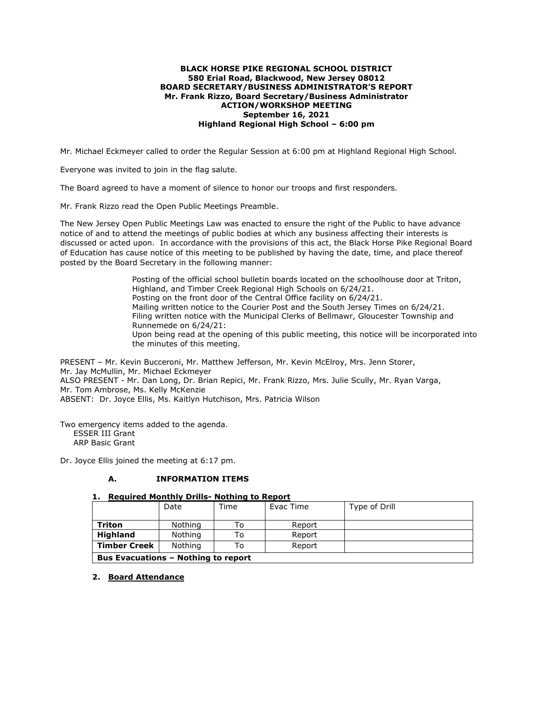#### **BLACK HORSE PIKE REGIONAL SCHOOL DISTRICT 580 Erial Road, Blackwood, New Jersey 08012 BOARD SECRETARY/BUSINESS ADMINISTRATOR'S REPORT Mr. Frank Rizzo, Board Secretary/Business Administrator ACTION/WORKSHOP MEETING September 16, 2021 Highland Regional High School – 6:00 pm**

Mr. Michael Eckmeyer called to order the Regular Session at 6:00 pm at Highland Regional High School.

Everyone was invited to join in the flag salute.

The Board agreed to have a moment of silence to honor our troops and first responders.

Mr. Frank Rizzo read the Open Public Meetings Preamble.

The New Jersey Open Public Meetings Law was enacted to ensure the right of the Public to have advance notice of and to attend the meetings of public bodies at which any business affecting their interests is discussed or acted upon. In accordance with the provisions of this act, the Black Horse Pike Regional Board of Education has cause notice of this meeting to be published by having the date, time, and place thereof posted by the Board Secretary in the following manner:

> Posting of the official school bulletin boards located on the schoolhouse door at Triton, Highland, and Timber Creek Regional High Schools on 6/24/21. Posting on the front door of the Central Office facility on 6/24/21. Mailing written notice to the Courier Post and the South Jersey Times on 6/24/21. Filing written notice with the Municipal Clerks of Bellmawr, Gloucester Township and Runnemede on 6/24/21: Upon being read at the opening of this public meeting, this notice will be incorporated into the minutes of this meeting.

PRESENT – Mr. Kevin Bucceroni, Mr. Matthew Jefferson, Mr. Kevin McElroy, Mrs. Jenn Storer, Mr. Jay McMullin, Mr. Michael Eckmeyer ALSO PRESENT - Mr. Dan Long, Dr. Brian Repici, Mr. Frank Rizzo, Mrs. Julie Scully, Mr. Ryan Varga, Mr. Tom Ambrose, Ms. Kelly McKenzie ABSENT: Dr. Joyce Ellis, Ms. Kaitlyn Hutchison, Mrs. Patricia Wilson

Two emergency items added to the agenda. ESSER III Grant ARP Basic Grant

Dr. Joyce Ellis joined the meeting at 6:17 pm.

### **A. INFORMATION ITEMS**

### **1. Required Monthly Drills- Nothing to Report**

|                                            | Date    | Time | Evac Time | Type of Drill |  |  |
|--------------------------------------------|---------|------|-----------|---------------|--|--|
| Triton                                     | Nothing | То   | Report    |               |  |  |
| <b>Highland</b>                            | Nothing | To   | Report    |               |  |  |
| <b>Timber Creek</b>                        | Nothing | Т٥   | Report    |               |  |  |
| <b>Bus Evacuations - Nothing to report</b> |         |      |           |               |  |  |

### **2. Board Attendance**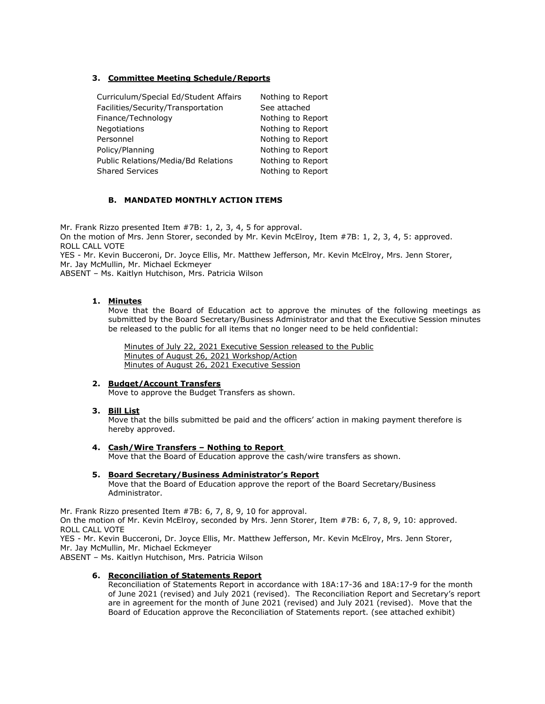## **3. Committee Meeting Schedule/Reports**

| Curriculum/Special Ed/Student Affairs | Nothing to Report |
|---------------------------------------|-------------------|
| Facilities/Security/Transportation    | See attached      |
| Finance/Technology                    | Nothing to Report |
| <b>Negotiations</b>                   | Nothing to Report |
| Personnel                             | Nothing to Report |
| Policy/Planning                       | Nothing to Report |
| Public Relations/Media/Bd Relations   | Nothing to Report |
| <b>Shared Services</b>                | Nothing to Report |

### **B. MANDATED MONTHLY ACTION ITEMS**

Mr. Frank Rizzo presented Item #7B: 1, 2, 3, 4, 5 for approval. On the motion of Mrs. Jenn Storer, seconded by Mr. Kevin McElroy, Item #7B: 1, 2, 3, 4, 5: approved. ROLL CALL VOTE

YES - Mr. Kevin Bucceroni, Dr. Joyce Ellis, Mr. Matthew Jefferson, Mr. Kevin McElroy, Mrs. Jenn Storer, Mr. Jay McMullin, Mr. Michael Eckmeyer

ABSENT – Ms. Kaitlyn Hutchison, Mrs. Patricia Wilson

### **1. Minutes**

Move that the Board of Education act to approve the minutes of the following meetings as submitted by the Board Secretary/Business Administrator and that the Executive Session minutes be released to the public for all items that no longer need to be held confidential:

Minutes of July 22, 2021 Executive Session released to the Public Minutes of August 26, 2021 Workshop/Action Minutes of August 26, 2021 Executive Session

### **2. Budget/Account Transfers**

Move to approve the Budget Transfers as shown.

**3. Bill List**

Move that the bills submitted be paid and the officers' action in making payment therefore is hereby approved.

#### **4. Cash/Wire Transfers – Nothing to Report**

Move that the Board of Education approve the cash/wire transfers as shown.

### **5. Board Secretary/Business Administrator's Report**

Move that the Board of Education approve the report of the Board Secretary/Business Administrator.

Mr. Frank Rizzo presented Item #7B: 6, 7, 8, 9, 10 for approval.

On the motion of Mr. Kevin McElroy, seconded by Mrs. Jenn Storer, Item #7B: 6, 7, 8, 9, 10: approved. ROLL CALL VOTE

YES - Mr. Kevin Bucceroni, Dr. Joyce Ellis, Mr. Matthew Jefferson, Mr. Kevin McElroy, Mrs. Jenn Storer, Mr. Jay McMullin, Mr. Michael Eckmeyer

ABSENT – Ms. Kaitlyn Hutchison, Mrs. Patricia Wilson

### **6. Reconciliation of Statements Report**

Reconciliation of Statements Report in accordance with 18A:17-36 and 18A:17-9 for the month of June 2021 (revised) and July 2021 (revised). The Reconciliation Report and Secretary's report are in agreement for the month of June 2021 (revised) and July 2021 (revised). Move that the Board of Education approve the Reconciliation of Statements report. (see attached exhibit)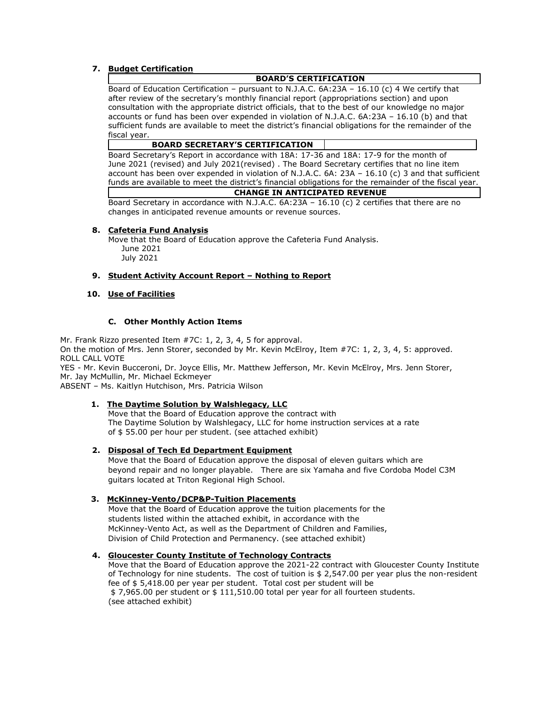### **7. Budget Certification**

### **BOARD'S CERTIFICATION**

Board of Education Certification – pursuant to N.J.A.C. 6A:23A – 16.10 (c) 4 We certify that after review of the secretary's monthly financial report (appropriations section) and upon consultation with the appropriate district officials, that to the best of our knowledge no major accounts or fund has been over expended in violation of N.J.A.C. 6A:23A – 16.10 (b) and that sufficient funds are available to meet the district's financial obligations for the remainder of the fiscal year.

#### **BOARD SECRETARY'S CERTIFICATION**

 Board Secretary's Report in accordance with 18A: 17-36 and 18A: 17-9 for the month of June 2021 (revised) and July 2021(revised) . The Board Secretary certifies that no line item account has been over expended in violation of N.J.A.C. 6A: 23A – 16.10 (c) 3 and that sufficient funds are available to meet the district's financial obligations for the remainder of the fiscal year. **CHANGE IN ANTICIPATED REVENUE**

Board Secretary in accordance with N.J.A.C. 6A:23A – 16.10 (c) 2 certifies that there are no changes in anticipated revenue amounts or revenue sources.

### **8. Cafeteria Fund Analysis**

Move that the Board of Education approve the Cafeteria Fund Analysis. June 2021 July 2021

### **9. Student Activity Account Report – Nothing to Report**

### **10. Use of Facilities**

### **C. Other Monthly Action Items**

Mr. Frank Rizzo presented Item #7C: 1, 2, 3, 4, 5 for approval. On the motion of Mrs. Jenn Storer, seconded by Mr. Kevin McElroy, Item #7C: 1, 2, 3, 4, 5: approved. ROLL CALL VOTE

YES - Mr. Kevin Bucceroni, Dr. Joyce Ellis, Mr. Matthew Jefferson, Mr. Kevin McElroy, Mrs. Jenn Storer, Mr. Jay McMullin, Mr. Michael Eckmeyer

ABSENT – Ms. Kaitlyn Hutchison, Mrs. Patricia Wilson

### **1. The Daytime Solution by Walshlegacy, LLC**

 Move that the Board of Education approve the contract with The Daytime Solution by Walshlegacy, LLC for home instruction services at a rate of \$ 55.00 per hour per student. (see attached exhibit)

### **2. Disposal of Tech Ed Department Equipment**

 Move that the Board of Education approve the disposal of eleven guitars which are beyond repair and no longer playable. There are six Yamaha and five Cordoba Model C3M guitars located at Triton Regional High School.

### **3. McKinney-Vento/DCP&P-Tuition Placements**

 Move that the Board of Education approve the tuition placements for the students listed within the attached exhibit, in accordance with the McKinney-Vento Act, as well as the Department of Children and Families, Division of Child Protection and Permanency. (see attached exhibit)

### **4. Gloucester County Institute of Technology Contracts**

Move that the Board of Education approve the 2021-22 contract with Gloucester County Institute of Technology for nine students. The cost of tuition is \$ 2,547.00 per year plus the non-resident fee of \$ 5,418.00 per year per student. Total cost per student will be \$ 7,965.00 per student or \$ 111,510.00 total per year for all fourteen students. (see attached exhibit)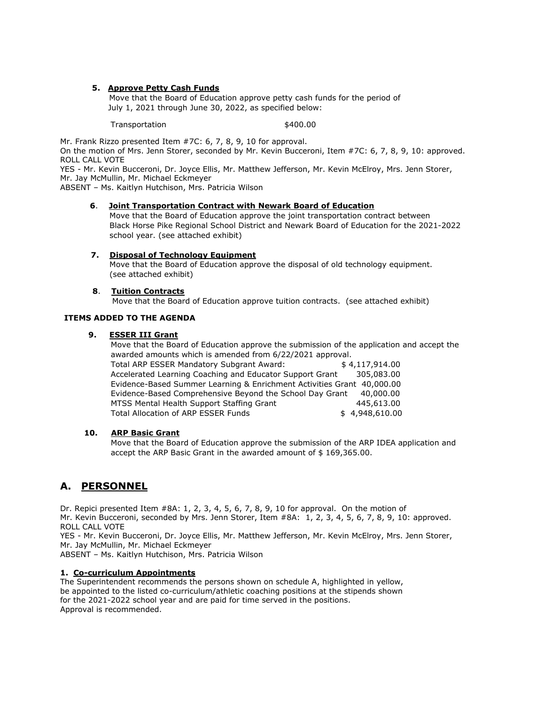### **5. Approve Petty Cash Funds**

Move that the Board of Education approve petty cash funds for the period of July 1, 2021 through June 30, 2022, as specified below:

Transportation 5400.00

Mr. Frank Rizzo presented Item #7C: 6, 7, 8, 9, 10 for approval.

On the motion of Mrs. Jenn Storer, seconded by Mr. Kevin Bucceroni, Item #7C: 6, 7, 8, 9, 10: approved. ROLL CALL VOTE

YES - Mr. Kevin Bucceroni, Dr. Joyce Ellis, Mr. Matthew Jefferson, Mr. Kevin McElroy, Mrs. Jenn Storer, Mr. Jay McMullin, Mr. Michael Eckmeyer

ABSENT – Ms. Kaitlyn Hutchison, Mrs. Patricia Wilson

#### **6**. **Joint Transportation Contract with Newark Board of Education**

 Move that the Board of Education approve the joint transportation contract between Black Horse Pike Regional School District and Newark Board of Education for the 2021-2022 school year. (see attached exhibit)

### **7. Disposal of Technology Equipment**

 Move that the Board of Education approve the disposal of old technology equipment. (see attached exhibit)

### **8**. **Tuition Contracts**

Move that the Board of Education approve tuition contracts. (see attached exhibit)

### **ITEMS ADDED TO THE AGENDA**

#### **9. ESSER III Grant**

 Move that the Board of Education approve the submission of the application and accept the awarded amounts which is amended from 6/22/2021 approval.

Total ARP ESSER Mandatory Subgrant Award:  $$4,117,914.00$  Accelerated Learning Coaching and Educator Support Grant 305,083.00 Evidence-Based Summer Learning & Enrichment Activities Grant 40,000.00 Evidence-Based Comprehensive Beyond the School Day Grant 40,000.00 MTSS Mental Health Support Staffing Grant 445,613.00 Total Allocation of ARP ESSER Funds  $$4,948,610.00$ 

#### **10. ARP Basic Grant**

 Move that the Board of Education approve the submission of the ARP IDEA application and accept the ARP Basic Grant in the awarded amount of \$ 169,365.00.

# **A. PERSONNEL**

Dr. Repici presented Item #8A: 1, 2, 3, 4, 5, 6, 7, 8, 9, 10 for approval. On the motion of Mr. Kevin Bucceroni, seconded by Mrs. Jenn Storer, Item #8A: 1, 2, 3, 4, 5, 6, 7, 8, 9, 10: approved. ROLL CALL VOTE

YES - Mr. Kevin Bucceroni, Dr. Joyce Ellis, Mr. Matthew Jefferson, Mr. Kevin McElroy, Mrs. Jenn Storer, Mr. Jay McMullin, Mr. Michael Eckmeyer

ABSENT – Ms. Kaitlyn Hutchison, Mrs. Patricia Wilson

### **1. Co-curriculum Appointments**

The Superintendent recommends the persons shown on schedule A, highlighted in yellow, be appointed to the listed co-curriculum/athletic coaching positions at the stipends shown for the 2021-2022 school year and are paid for time served in the positions. Approval is recommended.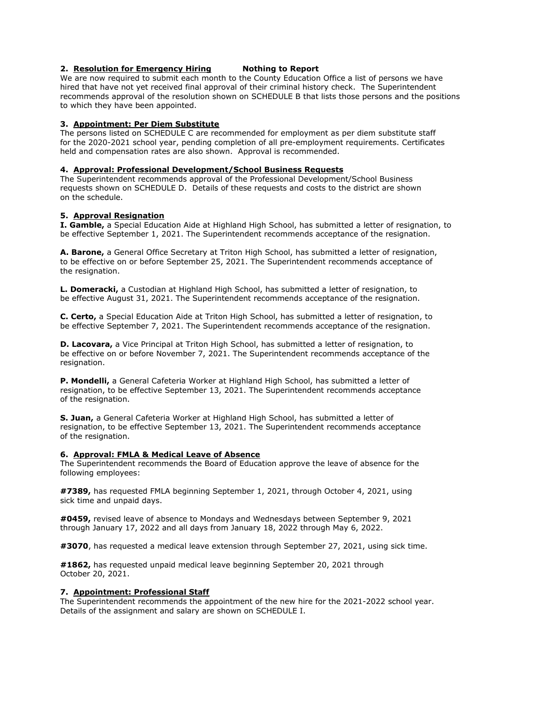### **2. Resolution for Emergency Hiring Nothing to Report**

We are now required to submit each month to the County Education Office a list of persons we have hired that have not yet received final approval of their criminal history check. The Superintendent recommends approval of the resolution shown on SCHEDULE B that lists those persons and the positions to which they have been appointed.

### **3. Appointment: Per Diem Substitute**

The persons listed on SCHEDULE C are recommended for employment as per diem substitute staff for the 2020-2021 school year, pending completion of all pre-employment requirements. Certificates held and compensation rates are also shown. Approval is recommended.

### **4. Approval: Professional Development/School Business Requests**

The Superintendent recommends approval of the Professional Development/School Business requests shown on SCHEDULE D. Details of these requests and costs to the district are shown on the schedule.

### **5. Approval Resignation**

**I. Gamble,** a Special Education Aide at Highland High School, has submitted a letter of resignation, to be effective September 1, 2021. The Superintendent recommends acceptance of the resignation.

**A. Barone,** a General Office Secretary at Triton High School, has submitted a letter of resignation, to be effective on or before September 25, 2021. The Superintendent recommends acceptance of the resignation.

**L. Domeracki,** a Custodian at Highland High School, has submitted a letter of resignation, to be effective August 31, 2021. The Superintendent recommends acceptance of the resignation.

**C. Certo,** a Special Education Aide at Triton High School, has submitted a letter of resignation, to be effective September 7, 2021. The Superintendent recommends acceptance of the resignation.

**D. Lacovara,** a Vice Principal at Triton High School, has submitted a letter of resignation, to be effective on or before November 7, 2021. The Superintendent recommends acceptance of the resignation.

**P. Mondelli,** a General Cafeteria Worker at Highland High School, has submitted a letter of resignation, to be effective September 13, 2021. The Superintendent recommends acceptance of the resignation.

**S. Juan,** a General Cafeteria Worker at Highland High School, has submitted a letter of resignation, to be effective September 13, 2021. The Superintendent recommends acceptance of the resignation.

### **6. Approval: FMLA & Medical Leave of Absence**

The Superintendent recommends the Board of Education approve the leave of absence for the following employees:

**#7389,** has requested FMLA beginning September 1, 2021, through October 4, 2021, using sick time and unpaid days.

**#0459,** revised leave of absence to Mondays and Wednesdays between September 9, 2021 through January 17, 2022 and all days from January 18, 2022 through May 6, 2022.

**#3070**, has requested a medical leave extension through September 27, 2021, using sick time.

**#1862,** has requested unpaid medical leave beginning September 20, 2021 through October 20, 2021.

### **7. Appointment: Professional Staff**

The Superintendent recommends the appointment of the new hire for the 2021-2022 school year. Details of the assignment and salary are shown on SCHEDULE I.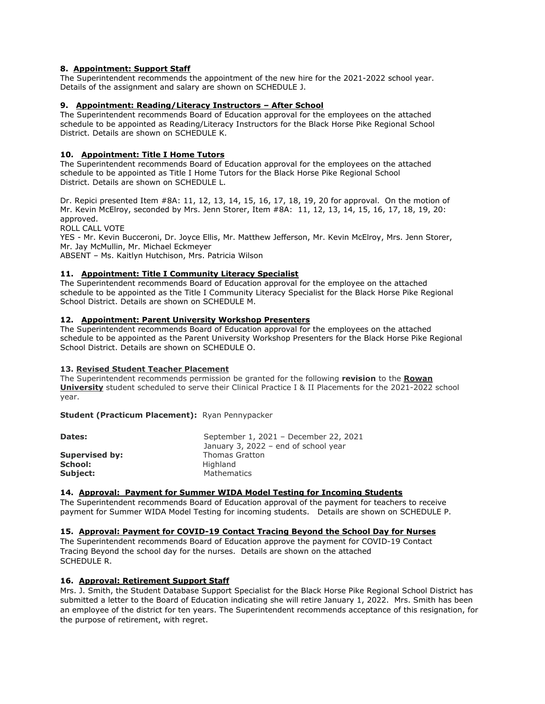### **8. Appointment: Support Staff**

The Superintendent recommends the appointment of the new hire for the 2021-2022 school year. Details of the assignment and salary are shown on SCHEDULE J.

### **9. Appointment: Reading/Literacy Instructors – After School**

The Superintendent recommends Board of Education approval for the employees on the attached schedule to be appointed as Reading/Literacy Instructors for the Black Horse Pike Regional School District. Details are shown on SCHEDULE K.

### **10. Appointment: Title I Home Tutors**

The Superintendent recommends Board of Education approval for the employees on the attached schedule to be appointed as Title I Home Tutors for the Black Horse Pike Regional School District. Details are shown on SCHEDULE L.

Dr. Repici presented Item #8A: 11, 12, 13, 14, 15, 16, 17, 18, 19, 20 for approval. On the motion of Mr. Kevin McElroy, seconded by Mrs. Jenn Storer, Item #8A: 11, 12, 13, 14, 15, 16, 17, 18, 19, 20: approved.

ROLL CALL VOTE

YES - Mr. Kevin Bucceroni, Dr. Joyce Ellis, Mr. Matthew Jefferson, Mr. Kevin McElroy, Mrs. Jenn Storer, Mr. Jay McMullin, Mr. Michael Eckmeyer

ABSENT – Ms. Kaitlyn Hutchison, Mrs. Patricia Wilson

### **11. Appointment: Title I Community Literacy Specialist**

The Superintendent recommends Board of Education approval for the employee on the attached schedule to be appointed as the Title I Community Literacy Specialist for the Black Horse Pike Regional School District. Details are shown on SCHEDULE M.

### **12. Appointment: Parent University Workshop Presenters**

The Superintendent recommends Board of Education approval for the employees on the attached schedule to be appointed as the Parent University Workshop Presenters for the Black Horse Pike Regional School District. Details are shown on SCHEDULE O.

### **13. Revised Student Teacher Placement**

The Superintendent recommends permission be granted for the following **revision** to the **Rowan University** student scheduled to serve their Clinical Practice I & II Placements for the 2021-2022 school year.

**Student (Practicum Placement):** Ryan Pennypacker

| Dates:                | September 1, 2021 - December 22, 2021 |
|-----------------------|---------------------------------------|
|                       | January 3, 2022 – end of school year  |
| <b>Supervised by:</b> | <b>Thomas Gratton</b>                 |
| School:               | Highland                              |
| Subject:              | Mathematics                           |

### **14. Approval: Payment for Summer WIDA Model Testing for Incoming Students**

The Superintendent recommends Board of Education approval of the payment for teachers to receive payment for Summer WIDA Model Testing for incoming students. Details are shown on SCHEDULE P.

### **15. Approval: Payment for COVID-19 Contact Tracing Beyond the School Day for Nurses**

The Superintendent recommends Board of Education approve the payment for COVID-19 Contact Tracing Beyond the school day for the nurses. Details are shown on the attached SCHEDULE R.

### **16. Approval: Retirement Support Staff**

Mrs. J. Smith, the Student Database Support Specialist for the Black Horse Pike Regional School District has submitted a letter to the Board of Education indicating she will retire January 1, 2022. Mrs. Smith has been an employee of the district for ten years. The Superintendent recommends acceptance of this resignation, for the purpose of retirement, with regret.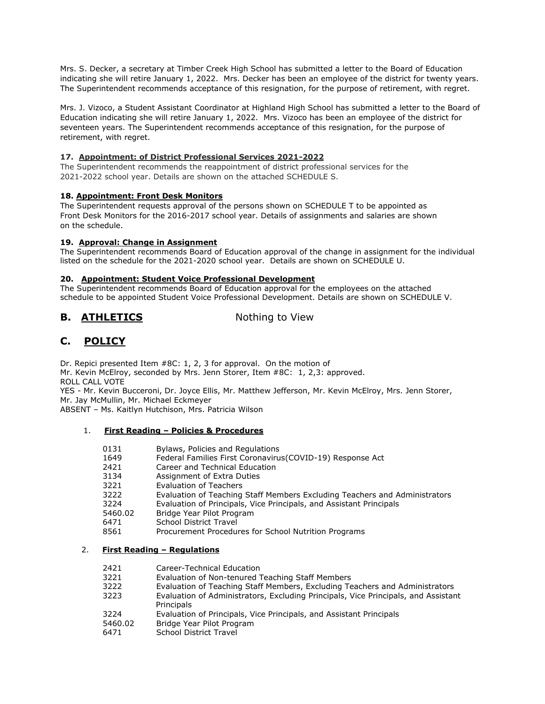Mrs. S. Decker, a secretary at Timber Creek High School has submitted a letter to the Board of Education indicating she will retire January 1, 2022. Mrs. Decker has been an employee of the district for twenty years. The Superintendent recommends acceptance of this resignation, for the purpose of retirement, with regret.

Mrs. J. Vizoco, a Student Assistant Coordinator at Highland High School has submitted a letter to the Board of Education indicating she will retire January 1, 2022. Mrs. Vizoco has been an employee of the district for seventeen years. The Superintendent recommends acceptance of this resignation, for the purpose of retirement, with regret.

### **17. Appointment: of District Professional Services 2021-2022**

The Superintendent recommends the reappointment of district professional services for the 2021-2022 school year. Details are shown on the attached SCHEDULE S.

### **18. Appointment: Front Desk Monitors**

The Superintendent requests approval of the persons shown on SCHEDULE T to be appointed as Front Desk Monitors for the 2016-2017 school year. Details of assignments and salaries are shown on the schedule.

### **19. Approval: Change in Assignment**

The Superintendent recommends Board of Education approval of the change in assignment for the individual listed on the schedule for the 2021-2020 school year. Details are shown on SCHEDULE U.

### **20. Appointment: Student Voice Professional Development**

The Superintendent recommends Board of Education approval for the employees on the attached schedule to be appointed Student Voice Professional Development. Details are shown on SCHEDULE V.

# **B. ATHLETICS** Nothing to View

# **C. POLICY**

Dr. Repici presented Item #8C: 1, 2, 3 for approval. On the motion of Mr. Kevin McElroy, seconded by Mrs. Jenn Storer, Item #8C: 1, 2,3: approved. ROLL CALL VOTE

YES - Mr. Kevin Bucceroni, Dr. Joyce Ellis, Mr. Matthew Jefferson, Mr. Kevin McElroy, Mrs. Jenn Storer, Mr. Jay McMullin, Mr. Michael Eckmeyer

ABSENT – Ms. Kaitlyn Hutchison, Mrs. Patricia Wilson

## 1. **First Reading – Policies & Procedures**

| 0131 | Bylaws, Policies and Regulations |
|------|----------------------------------|
|      |                                  |

- 1649 Federal Families First Coronavirus(COVID-19) Response Act
- 2421 Career and Technical Education
- 3134 Assignment of Extra Duties
- 3221 Evaluation of Teachers
- 3222 Evaluation of Teaching Staff Members Excluding Teachers and Administrators
- 3224 Evaluation of Principals, Vice Principals, and Assistant Principals
- 5460.02 Bridge Year Pilot Program
- 6471 School District Travel
- 8561 Procurement Procedures for School Nutrition Programs

### 2. **First Reading – Regulations**

- 2421 Career-Technical Education
- 3221 Evaluation of Non-tenured Teaching Staff Members
- 3222 Evaluation of Teaching Staff Members, Excluding Teachers and Administrators
- 3223 Evaluation of Administrators, Excluding Principals, Vice Principals, and Assistant **Principals**
- 3224 Evaluation of Principals, Vice Principals, and Assistant Principals
- 5460.02 Bridge Year Pilot Program<br>6471 School District Travel
- School District Travel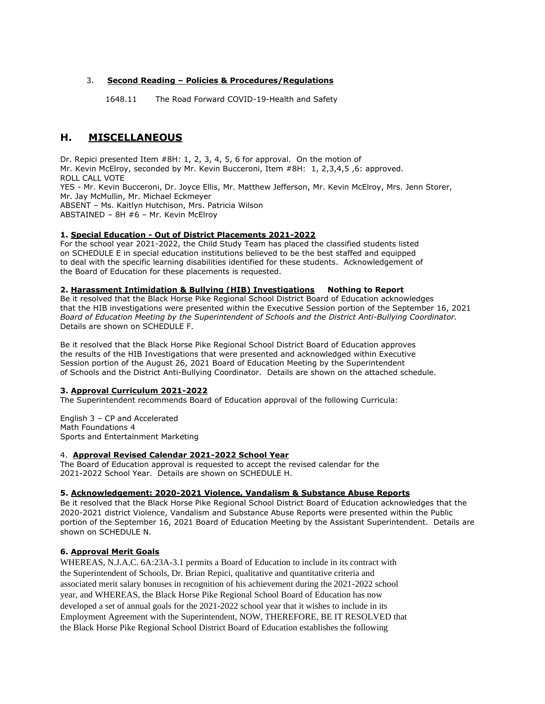### 3. **Second Reading – Policies & Procedures/Regulations**

1648.11 The Road Forward COVID-19-Health and Safety

# **H. MISCELLANEOUS**

Dr. Repici presented Item #8H: 1, 2, 3, 4, 5, 6 for approval. On the motion of Mr. Kevin McElroy, seconded by Mr. Kevin Bucceroni, Item #8H: 1, 2,3,4,5 ,6: approved. ROLL CALL VOTE YES - Mr. Kevin Bucceroni, Dr. Joyce Ellis, Mr. Matthew Jefferson, Mr. Kevin McElroy, Mrs. Jenn Storer, Mr. Jay McMullin, Mr. Michael Eckmeyer ABSENT – Ms. Kaitlyn Hutchison, Mrs. Patricia Wilson ABSTAINED – 8H #6 – Mr. Kevin McElroy

### **1. Special Education - Out of District Placements 2021-2022**

For the school year 2021-2022, the Child Study Team has placed the classified students listed on SCHEDULE E in special education institutions believed to be the best staffed and equipped to deal with the specific learning disabilities identified for these students. Acknowledgement of the Board of Education for these placements is requested.

### **2. Harassment Intimidation & Bullying (HIB) Investigations Nothing to Report**

Be it resolved that the Black Horse Pike Regional School District Board of Education acknowledges that the HIB investigations were presented within the Executive Session portion of the September 16, 2021 *Board of Education Meeting by the Superintendent of Schools and the District Anti-Bullying Coordinator.*  Details are shown on SCHEDULE F.

Be it resolved that the Black Horse Pike Regional School District Board of Education approves the results of the HIB Investigations that were presented and acknowledged within Executive Session portion of the August 26, 2021 Board of Education Meeting by the Superintendent of Schools and the District Anti-Bullying Coordinator. Details are shown on the attached schedule.

### **3. Approval Curriculum 2021-2022**

The Superintendent recommends Board of Education approval of the following Curricula:

English 3 – CP and Accelerated Math Foundations 4 Sports and Entertainment Marketing

### 4. **Approval Revised Calendar 2021-2022 School Year**

The Board of Education approval is requested to accept the revised calendar for the 2021-2022 School Year. Details are shown on SCHEDULE H.

### **5. Acknowledgement: 2020-2021 Violence, Vandalism & Substance Abuse Reports**

Be it resolved that the Black Horse Pike Regional School District Board of Education acknowledges that the 2020-2021 district Violence, Vandalism and Substance Abuse Reports were presented within the Public portion of the September 16, 2021 Board of Education Meeting by the Assistant Superintendent. Details are shown on SCHEDULE N.

### **6. Approval Merit Goals**

WHEREAS, N.J.A.C. 6A:23A-3.1 permits a Board of Education to include in its contract with the Superintendent of Schools, Dr. Brian Repici, qualitative and quantitative criteria and associated merit salary bonuses in recognition of his achievement during the 2021-2022 school year, and WHEREAS, the Black Horse Pike Regional School Board of Education has now developed a set of annual goals for the 2021-2022 school year that it wishes to include in its Employment Agreement with the Superintendent, NOW, THEREFORE, BE IT RESOLVED that the Black Horse Pike Regional School District Board of Education establishes the following